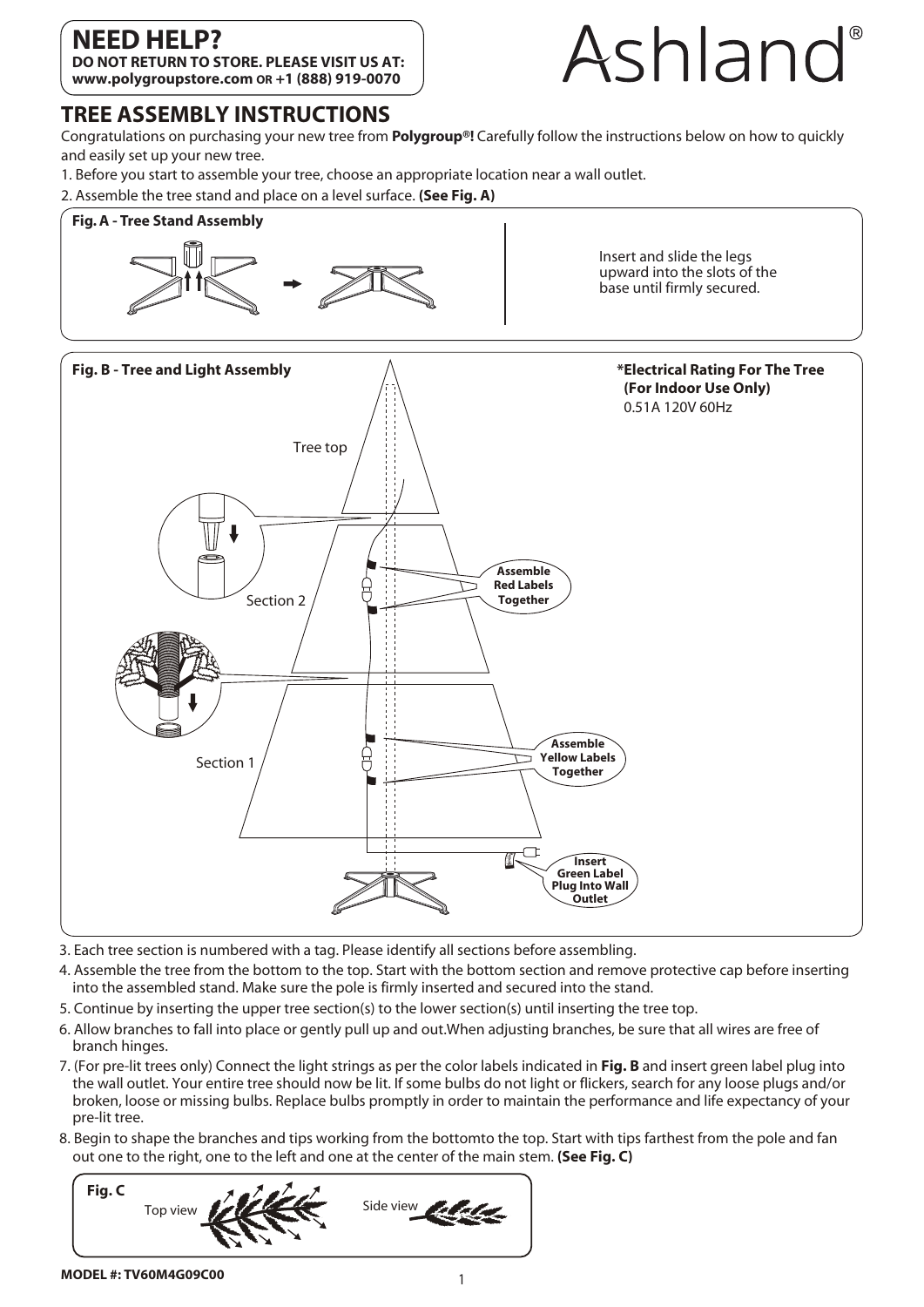## **NEED HELP?**

**DO NOT RETURN TO STORE. PLEASE VISIT US AT: www.polygroupstore.com OR +1 (888) 919-0070**



#### **TREE ASSEMBLY INSTRUCTIONS**

Congratulations on purchasing your new tree from **Polygroup®!** Carefully follow the instructions below on how to quickly and easily set up your new tree.

1. Before you start to assemble your tree, choose an appropriate location near a wall outlet.



- 3. Each tree section is numbered with a tag. Please identify all sections before assembling.
- 4. Assemble the tree from the bottom to the top. Start with the bottom section and remove protective cap before inserting into the assembled stand. Make sure the pole is firmly inserted and secured into the stand.
- 5. Continue by inserting the upper tree section(s) to the lower section(s) until inserting the tree top.
- 6. Allow branches to fall into place or gently pull up and out.When adjusting branches, be sure that all wires are free of branch hinges.
- 7. (For pre-lit trees only) Connect the light strings as per the color labels indicated in **Fig. B** and insert green label plug into the wall outlet. Your entire tree should now be lit. If some bulbs do not light or flickers, search for any loose plugs and/or broken, loose or missing bulbs. Replace bulbs promptly in order to maintain the performance and life expectancy of your pre-lit tree.
- 8. Begin to shape the branches and tips working from the bottomto the top. Start with tips farthest from the pole and fan out one to the right, one to the left and one at the center of the main stem. **(See Fig. C)**



#### **MODEL #: TV60M4G09C00**